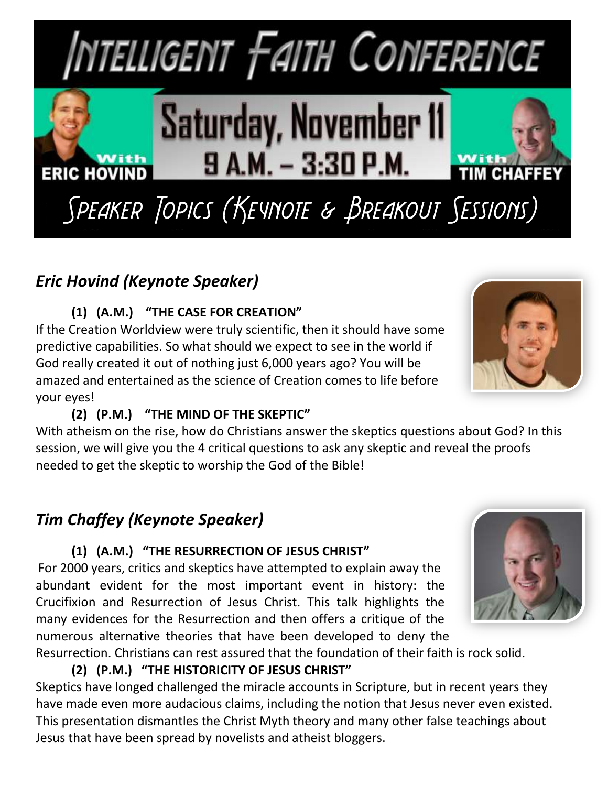

## *Eric Hovind (Keynote Speaker)*

### **(1) (A.M.) "THE CASE FOR CREATION"**

If the Creation Worldview were truly scientific, then it should have some predictive capabilities. So what should we expect to see in the world if God really created it out of nothing just 6,000 years ago? You will be amazed and entertained as the science of Creation comes to life before your eyes!

#### **(2) (P.M.) "THE MIND OF THE SKEPTIC"**

With atheism on the rise, how do Christians answer the skeptics questions about God? In this session, we will give you the 4 critical questions to ask any skeptic and reveal the proofs needed to get the skeptic to worship the God of the Bible!

## *Tim Chaffey (Keynote Speaker)*

#### **(1) (A.M.) "THE RESURRECTION OF JESUS CHRIST"**

For 2000 years, critics and skeptics have attempted to explain away the abundant evident for the most important event in history: the Crucifixion and Resurrection of Jesus Christ. This talk highlights the many evidences for the Resurrection and then offers a critique of the numerous alternative theories that have been developed to deny the

Resurrection. Christians can rest assured that the foundation of their faith is rock solid.

**(2) (P.M.) "THE HISTORICITY OF JESUS CHRIST"**

Skeptics have longed challenged the miracle accounts in Scripture, but in recent years they have made even more audacious claims, including the notion that Jesus never even existed. This presentation dismantles the Christ Myth theory and many other false teachings about Jesus that have been spread by novelists and atheist bloggers.